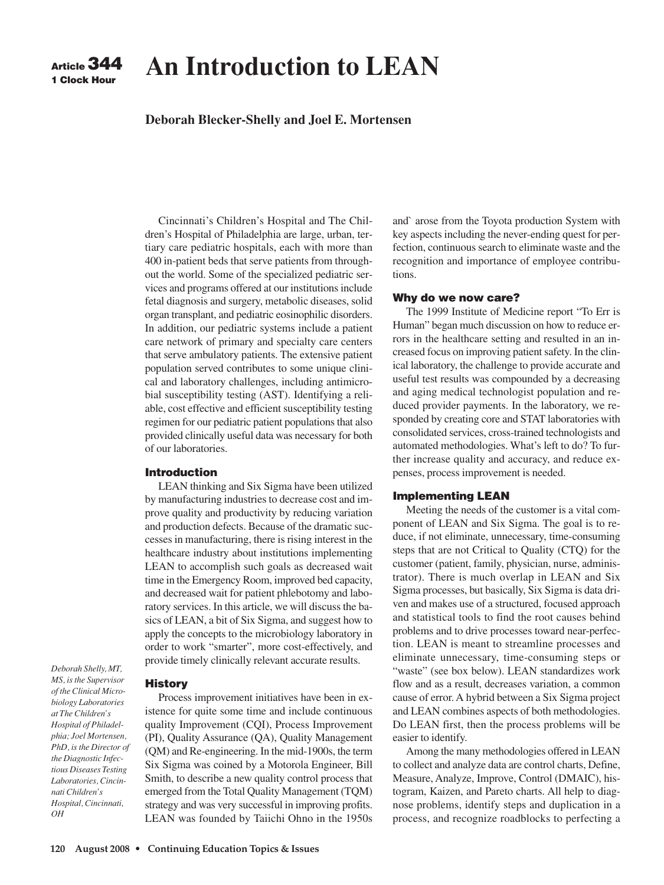

# **An Introduction to LEAN**

# **Deborah Blecker-Shelly and Joel E. Mortensen**

Cincinnati's Children's Hospital and The Children's Hospital of Philadelphia are large, urban, tertiary care pediatric hospitals, each with more than 400 in-patient beds that serve patients from throughout the world. Some of the specialized pediatric services and programs offered at our institutions include fetal diagnosis and surgery, metabolic diseases, solid organ transplant, and pediatric eosinophilic disorders. In addition, our pediatric systems include a patient care network of primary and specialty care centers that serve ambulatory patients. The extensive patient population served contributes to some unique clinical and laboratory challenges, including antimicrobial susceptibility testing (AST). Identifying a reliable, cost effective and efficient susceptibility testing regimen for our pediatric patient populations that also provided clinically useful data was necessary for both of our laboratories.

## **Introduction**

LEAN thinking and Six Sigma have been utilized by manufacturing industries to decrease cost and improve quality and productivity by reducing variation and production defects. Because of the dramatic successes in manufacturing, there is rising interest in the healthcare industry about institutions implementing LEAN to accomplish such goals as decreased wait time in the Emergency Room, improved bed capacity, and decreased wait for patient phlebotomy and laboratory services. In this article, we will discuss the basics of LEAN, a bit of Six Sigma, and suggest how to apply the concepts to the microbiology laboratory in order to work "smarter", more cost-effectively, and provide timely clinically relevant accurate results.

*Deborah Shelly, MT, MS, is the Supervisor of the Clinical Microbiology Laboratories at The Children's Hospital of Philadelphia; Joel Mortensen, PhD, is the Director of the Diagnostic Infectious Diseases Testing Laboratories, Cincinnati Children's Hospital, Cincinnati, OH*

#### **History**

Process improvement initiatives have been in existence for quite some time and include continuous quality Improvement (CQI), Process Improvement (PI), Quality Assurance (QA), Quality Management (QM) and Re-engineering. In the mid-1900s, the term Six Sigma was coined by a Motorola Engineer, Bill Smith, to describe a new quality control process that emerged from the Total Quality Management (TQM) strategy and was very successful in improving profits. LEAN was founded by Taiichi Ohno in the 1950s and` arose from the Toyota production System with key aspects including the never-ending quest for perfection, continuous search to eliminate waste and the recognition and importance of employee contributions.

#### **Why do we now care?**

The 1999 Institute of Medicine report "To Err is Human" began much discussion on how to reduce errors in the healthcare setting and resulted in an increased focus on improving patient safety. In the clinical laboratory, the challenge to provide accurate and useful test results was compounded by a decreasing and aging medical technologist population and reduced provider payments. In the laboratory, we responded by creating core and STAT laboratories with consolidated services, cross-trained technologists and automated methodologies. What's left to do? To further increase quality and accuracy, and reduce expenses, process improvement is needed.

## **Implementing LEAN**

Meeting the needs of the customer is a vital component of LEAN and Six Sigma. The goal is to reduce, if not eliminate, unnecessary, time-consuming steps that are not Critical to Quality (CTQ) for the customer (patient, family, physician, nurse, administrator). There is much overlap in LEAN and Six Sigma processes, but basically, Six Sigma is data driven and makes use of a structured, focused approach and statistical tools to find the root causes behind problems and to drive processes toward near-perfection. LEAN is meant to streamline processes and eliminate unnecessary, time-consuming steps or "waste" (see box below). LEAN standardizes work flow and as a result, decreases variation, a common cause of error. A hybrid between a Six Sigma project and LEAN combines aspects of both methodologies. Do LEAN first, then the process problems will be easier to identify.

Among the many methodologies offered in LEAN to collect and analyze data are control charts, Define, Measure, Analyze, Improve, Control (DMAIC), histogram, Kaizen, and Pareto charts. All help to diagnose problems, identify steps and duplication in a process, and recognize roadblocks to perfecting a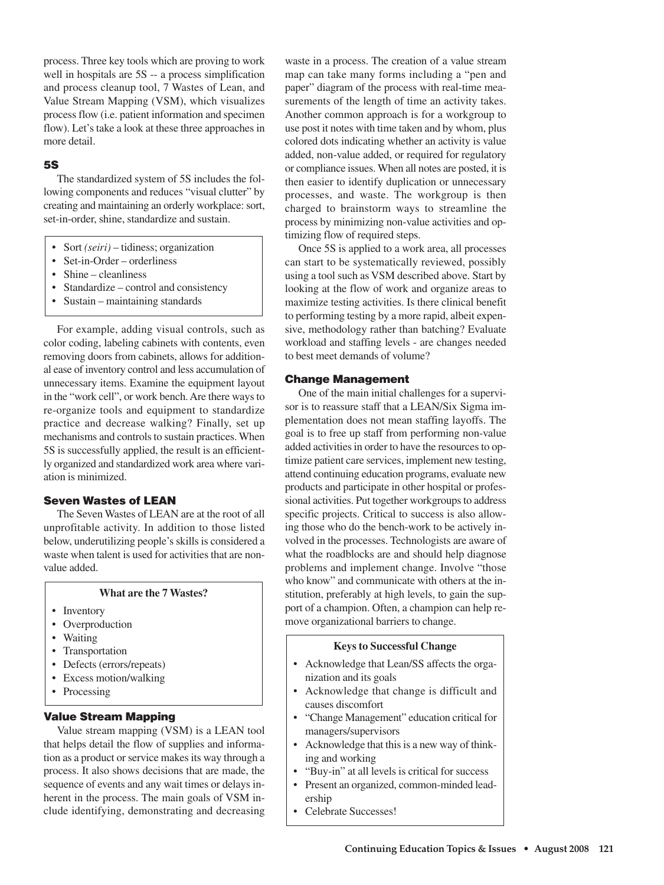process. Three key tools which are proving to work well in hospitals are 5S -- a process simplification and process cleanup tool, 7 Wastes of Lean, and Value Stream Mapping (VSM), which visualizes process flow (i.e. patient information and specimen flow). Let's take a look at these three approaches in more detail.

## **5S**

The standardized system of 5S includes the following components and reduces "visual clutter" by creating and maintaining an orderly workplace: sort, set-in-order, shine, standardize and sustain.

- Sort *(seiri)* tidiness; organization
- Set-in-Order orderliness
- Shine cleanliness
- Standardize control and consistency
- Sustain maintaining standards

For example, adding visual controls, such as color coding, labeling cabinets with contents, even removing doors from cabinets, allows for additional ease of inventory control and less accumulation of unnecessary items. Examine the equipment layout in the "work cell", or work bench. Are there ways to re-organize tools and equipment to standardize practice and decrease walking? Finally, set up mechanisms and controls to sustain practices. When 5S is successfully applied, the result is an efficiently organized and standardized work area where variation is minimized.

## **Seven Wastes of LEAN**

The Seven Wastes of LEAN are at the root of all unprofitable activity. In addition to those listed below, underutilizing people's skills is considered a waste when talent is used for activities that are nonvalue added.

#### **What are the 7 Wastes?**

- Inventory
- Overproduction
- Waiting
- Transportation
- Defects (errors/repeats)
- Excess motion/walking
- Processing

#### **Value Stream Mapping**

Value stream mapping (VSM) is a LEAN tool that helps detail the flow of supplies and information as a product or service makes its way through a process. It also shows decisions that are made, the sequence of events and any wait times or delays inherent in the process. The main goals of VSM include identifying, demonstrating and decreasing waste in a process. The creation of a value stream map can take many forms including a "pen and paper" diagram of the process with real-time measurements of the length of time an activity takes. Another common approach is for a workgroup to use post it notes with time taken and by whom, plus colored dots indicating whether an activity is value added, non-value added, or required for regulatory or compliance issues. When all notes are posted, it is then easier to identify duplication or unnecessary processes, and waste. The workgroup is then charged to brainstorm ways to streamline the process by minimizing non-value activities and optimizing flow of required steps.

Once 5S is applied to a work area, all processes can start to be systematically reviewed, possibly using a tool such as VSM described above. Start by looking at the flow of work and organize areas to maximize testing activities. Is there clinical benefit to performing testing by a more rapid, albeit expensive, methodology rather than batching? Evaluate workload and staffing levels - are changes needed to best meet demands of volume?

#### **Change Management**

One of the main initial challenges for a supervisor is to reassure staff that a LEAN/Six Sigma implementation does not mean staffing layoffs. The goal is to free up staff from performing non-value added activities in order to have the resources to optimize patient care services, implement new testing, attend continuing education programs, evaluate new products and participate in other hospital or professional activities. Put together workgroups to address specific projects. Critical to success is also allowing those who do the bench-work to be actively involved in the processes. Technologists are aware of what the roadblocks are and should help diagnose problems and implement change. Involve "those who know" and communicate with others at the institution, preferably at high levels, to gain the support of a champion. Often, a champion can help remove organizational barriers to change.

## **Keys to Successful Change**

- Acknowledge that Lean/SS affects the organization and its goals
- Acknowledge that change is difficult and causes discomfort
- "Change Management" education critical for managers/supervisors
- Acknowledge that this is a new way of thinking and working
- "Buy-in" at all levels is critical for success
- Present an organized, common-minded leadership
- Celebrate Successes!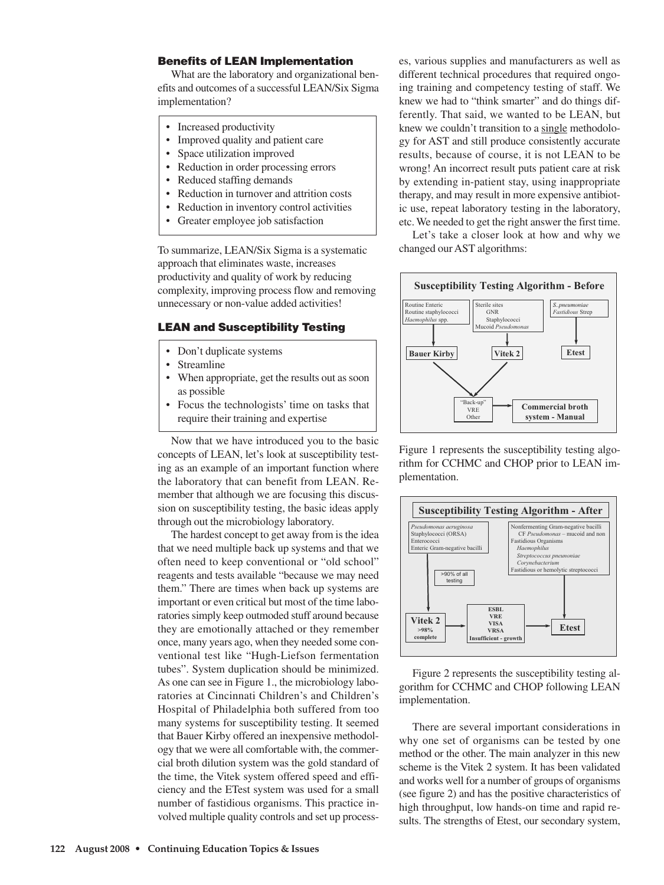## **Benefits of LEAN Implementation**

What are the laboratory and organizational benefits and outcomes of a successful LEAN/Six Sigma implementation?

- Increased productivity
- Improved quality and patient care
- Space utilization improved
- Reduction in order processing errors
- Reduced staffing demands
- Reduction in turnover and attrition costs
- Reduction in inventory control activities
- Greater employee job satisfaction

To summarize, LEAN/Six Sigma is a systematic approach that eliminates waste, increases productivity and quality of work by reducing complexity, improving process flow and removing unnecessary or non-value added activities!

#### **LEAN and Susceptibility Testing**

- Don't duplicate systems
- **Streamline**
- When appropriate, get the results out as soon as possible
- Focus the technologists' time on tasks that require their training and expertise

Now that we have introduced you to the basic concepts of LEAN, let's look at susceptibility testing as an example of an important function where the laboratory that can benefit from LEAN. Remember that although we are focusing this discussion on susceptibility testing, the basic ideas apply through out the microbiology laboratory.

The hardest concept to get away from is the idea that we need multiple back up systems and that we often need to keep conventional or "old school" reagents and tests available "because we may need them." There are times when back up systems are important or even critical but most of the time laboratories simply keep outmoded stuff around because they are emotionally attached or they remember once, many years ago, when they needed some conventional test like "Hugh-Liefson fermentation tubes". System duplication should be minimized. As one can see in Figure 1., the microbiology laboratories at Cincinnati Children's and Children's Hospital of Philadelphia both suffered from too many systems for susceptibility testing. It seemed that Bauer Kirby offered an inexpensive methodology that we were all comfortable with, the commercial broth dilution system was the gold standard of the time, the Vitek system offered speed and efficiency and the ETest system was used for a small number of fastidious organisms. This practice involved multiple quality controls and set up processes, various supplies and manufacturers as well as different technical procedures that required ongoing training and competency testing of staff. We knew we had to "think smarter" and do things differently. That said, we wanted to be LEAN, but knew we couldn't transition to a single methodology for AST and still produce consistently accurate results, because of course, it is not LEAN to be wrong! An incorrect result puts patient care at risk by extending in-patient stay, using inappropriate therapy, and may result in more expensive antibiotic use, repeat laboratory testing in the laboratory, etc. We needed to get the right answer the first time.

Let's take a closer look at how and why we changed our AST algorithms:



Figure 1 represents the susceptibility testing algorithm for CCHMC and CHOP prior to LEAN implementation.



Figure 2 represents the susceptibility testing algorithm for CCHMC and CHOP following LEAN implementation.

There are several important considerations in why one set of organisms can be tested by one method or the other. The main analyzer in this new scheme is the Vitek 2 system. It has been validated and works well for a number of groups of organisms (see figure 2) and has the positive characteristics of high throughput, low hands-on time and rapid results. The strengths of Etest, our secondary system,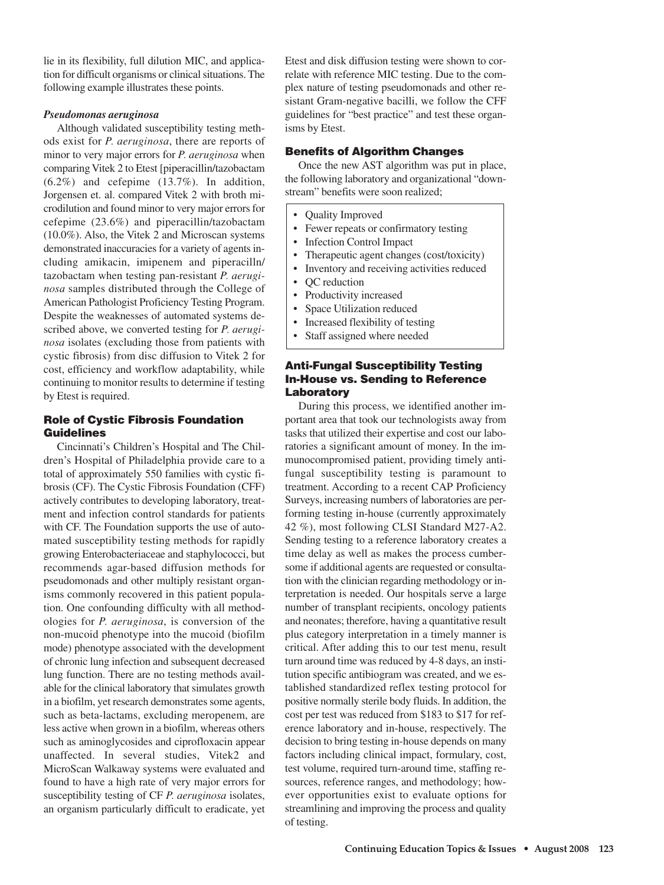lie in its flexibility, full dilution MIC, and application for difficult organisms or clinical situations. The following example illustrates these points.

#### *Pseudomonas aeruginosa*

Although validated susceptibility testing methods exist for *P. aeruginosa*, there are reports of minor to very major errors for *P. aeruginosa* when comparing Vitek 2 to Etest [piperacillin/tazobactam (6.2%) and cefepime (13.7%). In addition, Jorgensen et. al. compared Vitek 2 with broth microdilution and found minor to very major errors for cefepime (23.6%) and piperacillin/tazobactam (10.0%). Also, the Vitek 2 and Microscan systems demonstrated inaccuracies for a variety of agents including amikacin, imipenem and piperacilln/ tazobactam when testing pan-resistant *P. aeruginosa* samples distributed through the College of American Pathologist Proficiency Testing Program. Despite the weaknesses of automated systems described above, we converted testing for *P. aeruginosa* isolates (excluding those from patients with cystic fibrosis) from disc diffusion to Vitek 2 for cost, efficiency and workflow adaptability, while continuing to monitor results to determine if testing by Etest is required.

# **Role of Cystic Fibrosis Foundation Guidelines**

Cincinnati's Children's Hospital and The Children's Hospital of Philadelphia provide care to a total of approximately 550 families with cystic fibrosis (CF). The Cystic Fibrosis Foundation (CFF) actively contributes to developing laboratory, treatment and infection control standards for patients with CF. The Foundation supports the use of automated susceptibility testing methods for rapidly growing Enterobacteriaceae and staphylococci, but recommends agar-based diffusion methods for pseudomonads and other multiply resistant organisms commonly recovered in this patient population. One confounding difficulty with all methodologies for *P. aeruginosa*, is conversion of the non-mucoid phenotype into the mucoid (biofilm mode) phenotype associated with the development of chronic lung infection and subsequent decreased lung function. There are no testing methods available for the clinical laboratory that simulates growth in a biofilm, yet research demonstrates some agents, such as beta-lactams, excluding meropenem, are less active when grown in a biofilm, whereas others such as aminoglycosides and ciprofloxacin appear unaffected. In several studies, Vitek2 and MicroScan Walkaway systems were evaluated and found to have a high rate of very major errors for susceptibility testing of CF *P. aeruginosa* isolates, an organism particularly difficult to eradicate, yet

Etest and disk diffusion testing were shown to correlate with reference MIC testing. Due to the complex nature of testing pseudomonads and other resistant Gram-negative bacilli, we follow the CFF guidelines for "best practice" and test these organisms by Etest.

## **Benefits of Algorithm Changes**

Once the new AST algorithm was put in place, the following laboratory and organizational "downstream" benefits were soon realized;

- Quality Improved
- Fewer repeats or confirmatory testing
- Infection Control Impact
- Therapeutic agent changes (cost/toxicity)
- Inventory and receiving activities reduced
- QC reduction
- Productivity increased
- Space Utilization reduced
- Increased flexibility of testing
- Staff assigned where needed

# **Anti-Fungal Susceptibility Testing In-House vs. Sending to Reference Laboratory**

During this process, we identified another important area that took our technologists away from tasks that utilized their expertise and cost our laboratories a significant amount of money. In the immunocompromised patient, providing timely antifungal susceptibility testing is paramount to treatment. According to a recent CAP Proficiency Surveys, increasing numbers of laboratories are performing testing in-house (currently approximately 42 %), most following CLSI Standard M27-A2. Sending testing to a reference laboratory creates a time delay as well as makes the process cumbersome if additional agents are requested or consultation with the clinician regarding methodology or interpretation is needed. Our hospitals serve a large number of transplant recipients, oncology patients and neonates; therefore, having a quantitative result plus category interpretation in a timely manner is critical. After adding this to our test menu, result turn around time was reduced by 4-8 days, an institution specific antibiogram was created, and we established standardized reflex testing protocol for positive normally sterile body fluids. In addition, the cost per test was reduced from \$183 to \$17 for reference laboratory and in-house, respectively. The decision to bring testing in-house depends on many factors including clinical impact, formulary, cost, test volume, required turn-around time, staffing resources, reference ranges, and methodology; however opportunities exist to evaluate options for streamlining and improving the process and quality of testing.